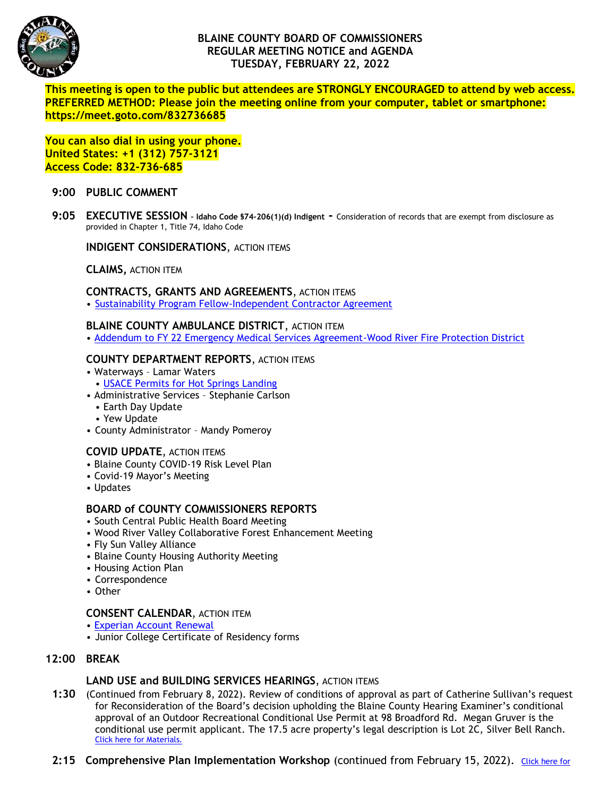

# **BLAINE COUNTY BOARD OF COMMISSIONERS REGULAR MEETING NOTICE and AGENDA TUESDAY, FEBRUARY 22, 2022**

**This meeting is open to the public but attendees are STRONGLY ENCOURAGED to attend by web access. PREFERRED METHOD: Please join the meeting online from your computer, tablet or smartphone: https://meet.goto.com/832736685**

**You can also dial in using your phone. United States: +1 (312) 757-3121 Access Code: 832-736-685**

### **9:00 PUBLIC COMMENT**

**9:05 EXECUTIVE SESSION – Idaho Code §74-206(1)(d) Indigent -** Consideration of records that are exempt from disclosure as provided in Chapter 1, Title 74, Idaho Code

**INDIGENT CONSIDERATIONS**, ACTION ITEMS

**CLAIMS,** ACTION ITEM

### **CONTRACTS, GRANTS AND AGREEMENTS**, ACTION ITEMS

• [Sustainability Program Fellow-Independent Contractor Agreement](https://www.co.blaine.id.us/DocumentCenter/View/17990/Sustainability-Program-Fellow-final)

#### **BLAINE COUNTY AMBULANCE DISTRICT**, ACTION ITEM

• [Addendum to FY 22 Emergency Medical Services Agreement-Wood River Fire Protection District](https://www.co.blaine.id.us/DocumentCenter/View/17992/WRFR)

## **COUNTY DEPARTMENT REPORTS**, ACTION ITEMS

- Waterways Lamar Waters
- [USACE Permits for Hot Springs Landing](https://www.co.blaine.id.us/DocumentCenter/View/17991/USACE)
- Administrative Services Stephanie Carlson
- Earth Day Update
- Yew Update
- County Administrator Mandy Pomeroy

### **COVID UPDATE**, ACTION ITEMS

- Blaine County COVID-19 Risk Level Plan
- Covid-19 Mayor's Meeting
- Updates

### **BOARD of COUNTY COMMISSIONERS REPORTS**

- South Central Public Health Board Meeting
- Wood River Valley Collaborative Forest Enhancement Meeting
- Fly Sun Valley Alliance
- Blaine County Housing Authority Meeting
- Housing Action Plan
- Correspondence
- Other

#### **CONSENT CALENDAR**, ACTION ITEM

- [Experian Account Renewal](https://www.co.blaine.id.us/DocumentCenter/View/17995/Experian-final)
- Junior College Certificate of Residency forms

### **12:00 BREAK**

### **LAND USE and BUILDING SERVICES HEARINGS**, ACTION ITEMS

- **1:30** (Continued from February 8, 2022). Review of conditions of approval as part of Catherine Sullivan's request for Reconsideration of the Board's decision upholding the Blaine County Hearing Examiner's conditional approval of an Outdoor Recreational Conditional Use Permit at 98 Broadford Rd. Megan Gruver is the conditional use permit applicant. The 17.5 acre property's legal description is Lot 2C, Silver Bell Ranch. [Click here for Materials.](https://www.co.blaine.id.us/199/County-Commissioner-Hearing-Application-)
- **2:15 Comprehensive Plan Implementation Workshop** (continued from February 15, 2022). [Click here for](https://www.co.blaine.id.us/199/County-Commissioner-Hearing-Application-)